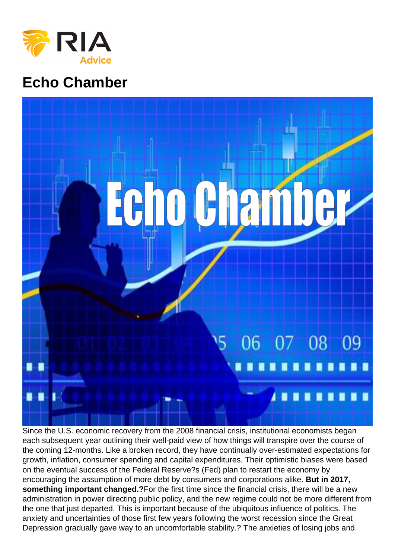# Echo Chamber

Since the U.S. economic recovery from the 2008 financial crisis, institutional economists began each subsequent year outlining their well-paid view of how things will transpire over the course of the coming 12-months. Like a broken record, they have continually over-estimated expectations for growth, inflation, consumer spending and capital expenditures. Their optimistic biases were based on the eventual success of the Federal Reserve?s (Fed) plan to restart the economy by encouraging the assumption of more debt by consumers and corporations alike. But in 2017, something important changed.? For the first time since the financial crisis, there will be a new administration in power directing public policy, and the new regime could not be more different from the one that just departed. This is important because of the ubiquitous influence of politics. The anxiety and uncertainties of those first few years following the worst recession since the Great Depression gradually gave way to an uncomfortable stability.? The anxieties of losing jobs and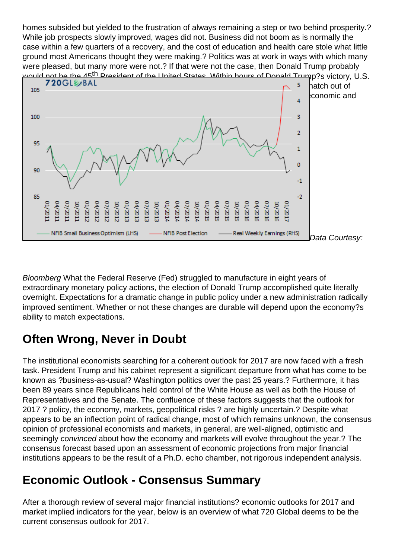homes subsided but yielded to the frustration of always remaining a step or two behind prosperity.? While job prospects slowly improved, wages did not. Business did not boom as is normally the case within a few quarters of a recovery, and the cost of education and health care stole what little ground most Americans thought they were making.? Politics was at work in ways with which many were pleased, but many more were not.? If that were not the case, then Donald Trump probably would not be the 45<sup>th</sup> President of the United States. Within hours of Donald Trump?s victory, U.S. [markets began to anticipate, for the first time since the financial crisis, an escape h](https://realinvestmentadvice.com/wp-content/uploads/2017/03/nfib-earnings.png)atch out of financial repression and regulatory oppression.? As shown below, an element of economic and financial optimism that had been missing since at least 2008 began to re-emerge.

Data Courtesy:

Bloomberg What the Federal Reserve (Fed) struggled to manufacture in eight years of extraordinary monetary policy actions, the election of Donald Trump accomplished quite literally overnight. Expectations for a dramatic change in public policy under a new administration radically improved sentiment. Whether or not these changes are durable will depend upon the economy?s ability to match expectations.

## Often Wrong, Never in Doubt

The institutional economists searching for a coherent outlook for 2017 are now faced with a fresh task. President Trump and his cabinet represent a significant departure from what has come to be known as ?business-as-usual? Washington politics over the past 25 years.? Furthermore, it has been 89 years since Republicans held control of the White House as well as both the House of Representatives and the Senate. The confluence of these factors suggests that the outlook for 2017 ? policy, the economy, markets, geopolitical risks ? are highly uncertain.? Despite what appears to be an inflection point of radical change, most of which remains unknown, the consensus opinion of professional economists and markets, in general, are well-aligned, optimistic and seemingly convinced about how the economy and markets will evolve throughout the year.? The consensus forecast based upon an assessment of economic projections from major financial institutions appears to be the result of a Ph.D. echo chamber, not rigorous independent analysis.

### Economic Outlook - Consensus Summary

After a thorough review of several major financial institutions? economic outlooks for 2017 and market implied indicators for the year, below is an overview of what 720 Global deems to be the current consensus outlook for 2017.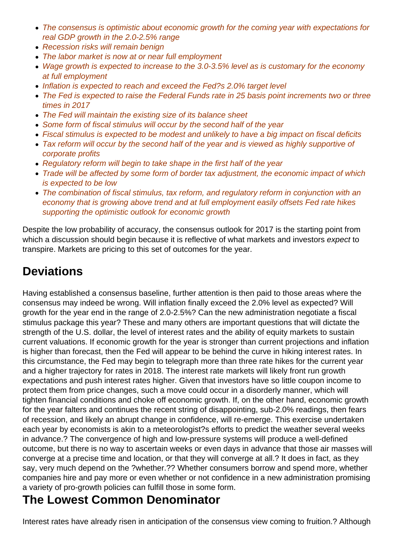- The consensus is optimistic about economic growth for the coming year with expectations for real GDP growth in the 2.0-2.5% range
- Recession risks will remain benign
- The labor market is now at or near full employment
- Wage growth is expected to increase to the 3.0-3.5% level as is customary for the economy at full employment
- Inflation is expected to reach and exceed the Fed?s 2.0% target level
- The Fed is expected to raise the Federal Funds rate in 25 basis point increments two or three times in 2017
- The Fed will maintain the existing size of its balance sheet
- Some form of fiscal stimulus will occur by the second half of the year
- Fiscal stimulus is expected to be modest and unlikely to have a big impact on fiscal deficits
- Tax reform will occur by the second half of the year and is viewed as highly supportive of corporate profits
- Regulatory reform will begin to take shape in the first half of the year
- Trade will be affected by some form of border tax adjustment, the economic impact of which is expected to be low
- The combination of fiscal stimulus, tax reform, and regulatory reform in conjunction with an economy that is growing above trend and at full employment easily offsets Fed rate hikes supporting the optimistic outlook for economic growth

Despite the low probability of accuracy, the consensus outlook for 2017 is the starting point from which a discussion should begin because it is reflective of what markets and investors expect to transpire. Markets are pricing to this set of outcomes for the year.

## **Deviations**

Having established a consensus baseline, further attention is then paid to those areas where the consensus may indeed be wrong. Will inflation finally exceed the 2.0% level as expected? Will growth for the year end in the range of 2.0-2.5%? Can the new administration negotiate a fiscal stimulus package this year? These and many others are important questions that will dictate the strength of the U.S. dollar, the level of interest rates and the ability of equity markets to sustain current valuations. If economic growth for the year is stronger than current projections and inflation is higher than forecast, then the Fed will appear to be behind the curve in hiking interest rates. In this circumstance, the Fed may begin to telegraph more than three rate hikes for the current year and a higher trajectory for rates in 2018. The interest rate markets will likely front run growth expectations and push interest rates higher. Given that investors have so little coupon income to protect them from price changes, such a move could occur in a disorderly manner, which will tighten financial conditions and choke off economic growth. If, on the other hand, economic growth for the year falters and continues the recent string of disappointing, sub-2.0% readings, then fears of recession, and likely an abrupt change in confidence, will re-emerge. This exercise undertaken each year by economists is akin to a meteorologist?s efforts to predict the weather several weeks in advance.? The convergence of high and low-pressure systems will produce a well-defined outcome, but there is no way to ascertain weeks or even days in advance that those air masses will converge at a precise time and location, or that they will converge at all.? It does in fact, as they say, very much depend on the ?whether.?? Whether consumers borrow and spend more, whether companies hire and pay more or even whether or not confidence in a new administration promising a variety of pro-growth policies can fulfill those in some form.

#### **The Lowest Common Denominator**

Interest rates have already risen in anticipation of the consensus view coming to fruition.? Although